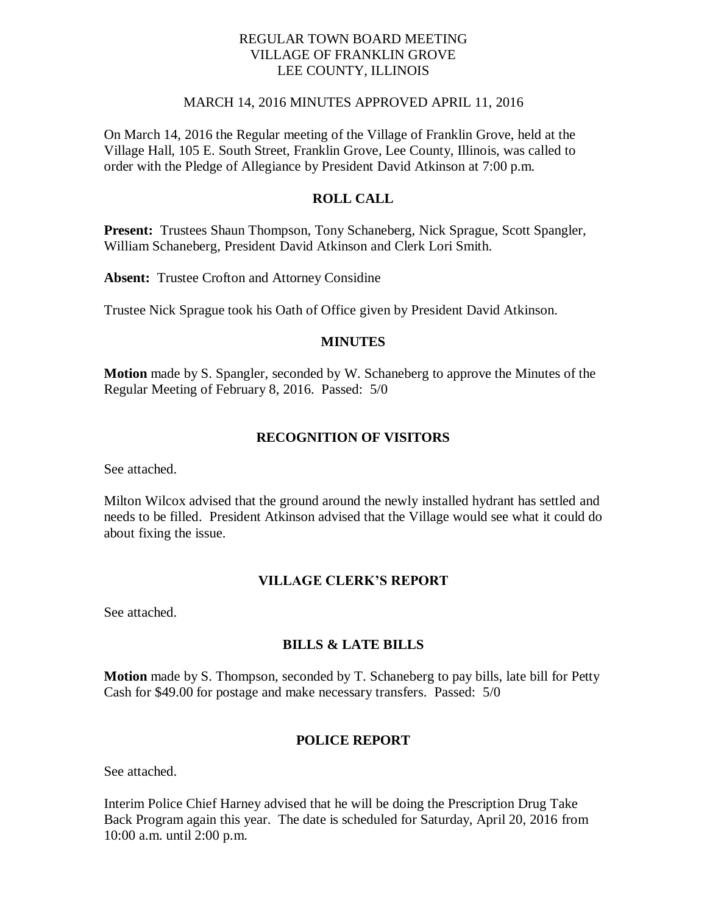### REGULAR TOWN BOARD MEETING VILLAGE OF FRANKLIN GROVE LEE COUNTY, ILLINOIS

### MARCH 14, 2016 MINUTES APPROVED APRIL 11, 2016

On March 14, 2016 the Regular meeting of the Village of Franklin Grove, held at the Village Hall, 105 E. South Street, Franklin Grove, Lee County, Illinois, was called to order with the Pledge of Allegiance by President David Atkinson at 7:00 p.m.

## **ROLL CALL**

**Present:** Trustees Shaun Thompson, Tony Schaneberg, Nick Sprague, Scott Spangler, William Schaneberg, President David Atkinson and Clerk Lori Smith.

**Absent:** Trustee Crofton and Attorney Considine

Trustee Nick Sprague took his Oath of Office given by President David Atkinson.

### **MINUTES**

**Motion** made by S. Spangler, seconded by W. Schaneberg to approve the Minutes of the Regular Meeting of February 8, 2016. Passed: 5/0

### **RECOGNITION OF VISITORS**

See attached.

Milton Wilcox advised that the ground around the newly installed hydrant has settled and needs to be filled. President Atkinson advised that the Village would see what it could do about fixing the issue.

## **VILLAGE CLERK'S REPORT**

See attached.

## **BILLS & LATE BILLS**

**Motion** made by S. Thompson, seconded by T. Schaneberg to pay bills, late bill for Petty Cash for \$49.00 for postage and make necessary transfers. Passed: 5/0

### **POLICE REPORT**

See attached.

Interim Police Chief Harney advised that he will be doing the Prescription Drug Take Back Program again this year. The date is scheduled for Saturday, April 20, 2016 from 10:00 a.m. until 2:00 p.m.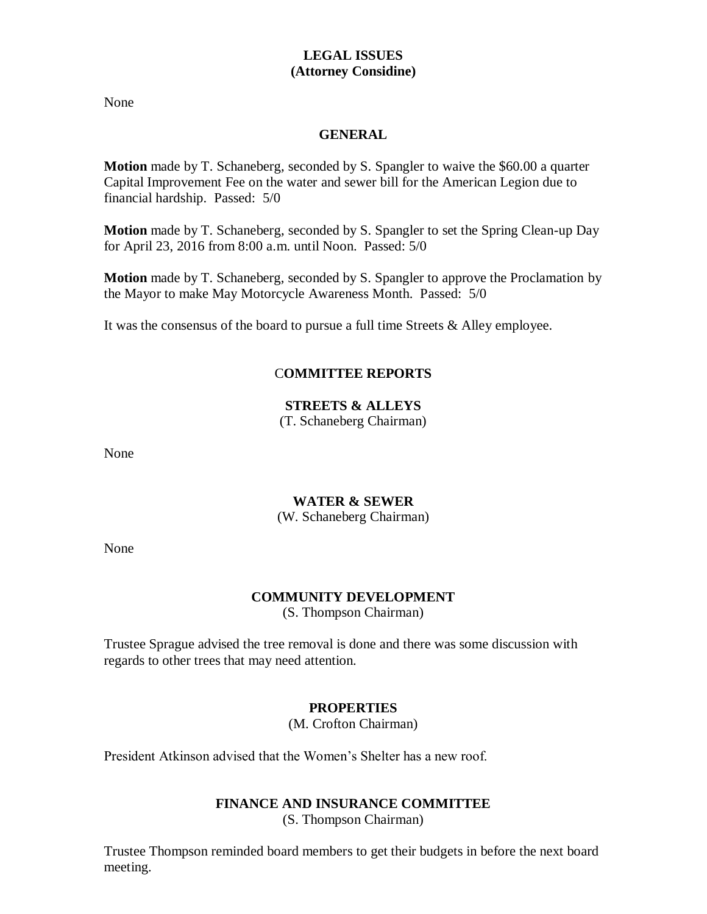## **LEGAL ISSUES (Attorney Considine)**

None

## **GENERAL**

**Motion** made by T. Schaneberg, seconded by S. Spangler to waive the \$60.00 a quarter Capital Improvement Fee on the water and sewer bill for the American Legion due to financial hardship. Passed: 5/0

**Motion** made by T. Schaneberg, seconded by S. Spangler to set the Spring Clean-up Day for April 23, 2016 from 8:00 a.m. until Noon. Passed: 5/0

**Motion** made by T. Schaneberg, seconded by S. Spangler to approve the Proclamation by the Mayor to make May Motorcycle Awareness Month. Passed: 5/0

It was the consensus of the board to pursue a full time Streets & Alley employee.

# C**OMMITTEE REPORTS**

# **STREETS & ALLEYS**

(T. Schaneberg Chairman)

None

## **WATER & SEWER**

(W. Schaneberg Chairman)

None

# **COMMUNITY DEVELOPMENT**

(S. Thompson Chairman)

Trustee Sprague advised the tree removal is done and there was some discussion with regards to other trees that may need attention.

# **PROPERTIES**

(M. Crofton Chairman)

President Atkinson advised that the Women's Shelter has a new roof.

# **FINANCE AND INSURANCE COMMITTEE**

(S. Thompson Chairman)

Trustee Thompson reminded board members to get their budgets in before the next board meeting.